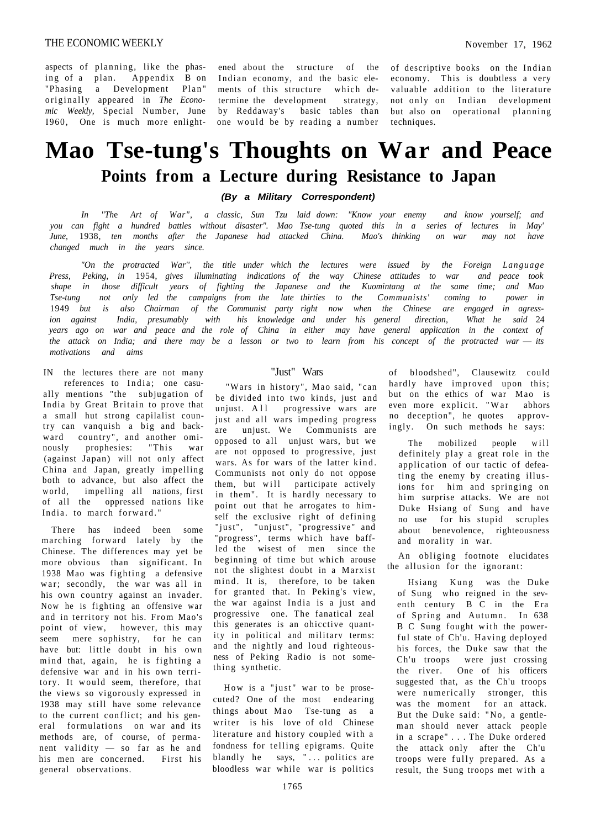ened about the structure of the of descriptive books on the Indian Indian economy, and the basic elements of this structure which determine the development strategy, by Reddaway's basic tables than one would be by reading a number

economy. This is doubtless a very valuable addition to the literature not only on Indian development but also on operational planning techniques.

# **Mao Tse-tung's Thoughts on War and Peace Points from a Lecture during Resistance to Japan**

**(By a Military Correspondent)** 

*In "Th*e *Art of War", a classic, Sun Tzu laid down: "Know your enemy and know yourself; and you can fight a hundred battles without disaster". Mao Tse-tung quoted this in a series of lectures in May' June,* 1938, *ten months after the Japanese had attacked China. Mao's thinking on war may not have changed much in the years since.* 

*"On the protracted War'', the title under which the lectures were issued by the Foreign Language Press, Peking, in* 1954, *gives illuminating indications of the way Chinese attitudes to war and peace took shape in those difficult years of fighting the Japanese and the Kuomintang at the same time; and Mao Tse-tung not only led the campaigns from the late thirties to the Communists' coming to power in*  1949 *but is also Chairman of the Communist party right now when the Chinese are engaged in agression against India, presumably with his knowledge and under his general direction, What he said* 24 *years ago on war and peace and the role of China in either may have general application in the context of the attack on India; and there may be a lesson or two to learn from his concept of the protracted war* — *its motivations and aims* 

IN the lectures there are not many references to India; one casually mentions "the subjugation of India by Great Britain to prove that a small hut strong capilalist country can vanquish a big and backward country", and another ominously prophesies: "This war  $(a$ gainst Japan) will not only affect China and Japan, greatly impelling both to advance, but also affect the world, impelling all nations, first of all the oppressed nations like India. to march forward."

There has indeed been some marching forward lately by the Chinese. The differences may yet be more obvious than significant. In 1938 Mao was fighting a defensive war; secondly, the war was all in his own country against an invader. Now he is fighting an offensive war and in territory not his. From Mao's point of view, however, this may seem mere sophistry, for he can have but: little doubt in his own mind that, again, he is fighting a defensive war and in his own territory. It would seem, therefore, that the views so vigorously expressed in 1938 may still have some relevance to the current conflict; and his general formulations on war and its methods are, of course, of permanent validity  $-$  so far as he and his men are concerned. First his general observations.

### "Just" Wars

"Wars in history", Mao said, "can be divided into two kinds, just and unjust. All progressive wars are just and all wars impeding progress are unjust. We Communists are opposed to all unjust wars, but we are not opposed to progressive, just wars. As for wars of the latter kind. Communists not only do not oppose them, but will participate actively in them". It is hardly necessary to point out that he arrogates to himself the exclusive right of defining "just", "unjust", "progressive" and "progress", terms which have baffled the wisest of men since the beginning of time but which arouse not the slightest doubt in a Marxist mind. It is, therefore, to be taken for granted that. In Peking's view, the war against India is a just and progressive one. The fanatical zeal this generates is an ohicctive quantity in political and military terms: and the nightly and loud righteousness of Peking Radio is not something synthetic.

How is a "just" war to be prosecuted? One of the most endearing things about Mao Tse-tung as a writer is his love of old Chinese literature and history coupled with a fondness for telling epigrams. Quite blandly he says, "... politics are bloodless war while war is politics

of bloodshed", Clausewitz could hardly have improved upon this; but on the ethics of war Mao is even more explicit. "War abhors no deception", he quotes approvingly. On such methods he says:

The mobilized people will definitely play a great role in the application of our tactic of defeating the enemy by creating illusions for him and springing on him surprise attacks. We are not Duke Hsiang of Sung and have no use for his stupid scruples about benevolence, righteousness and morality in war.

An obliging footnote elucidates the allusion for the ignorant:

Hsiang Kung was the Duke of Sung who reigned in the seventh century B C in the Era of Spring and Autumn. In 638 B C Sung fought with the powerful state of Ch'u. Having deployed his forces, the Duke saw that the Ch'u troops were just crossing the river. One of his officers suggested that, as the Ch'u troops were numerically stronger, this was the moment for an attack. But the Duke said: "No, a gentleman should never attack people in a scrape" . . . The Duke ordered the attack only after the Ch'u troops were fully prepared. As a result, the Sung troops met with a